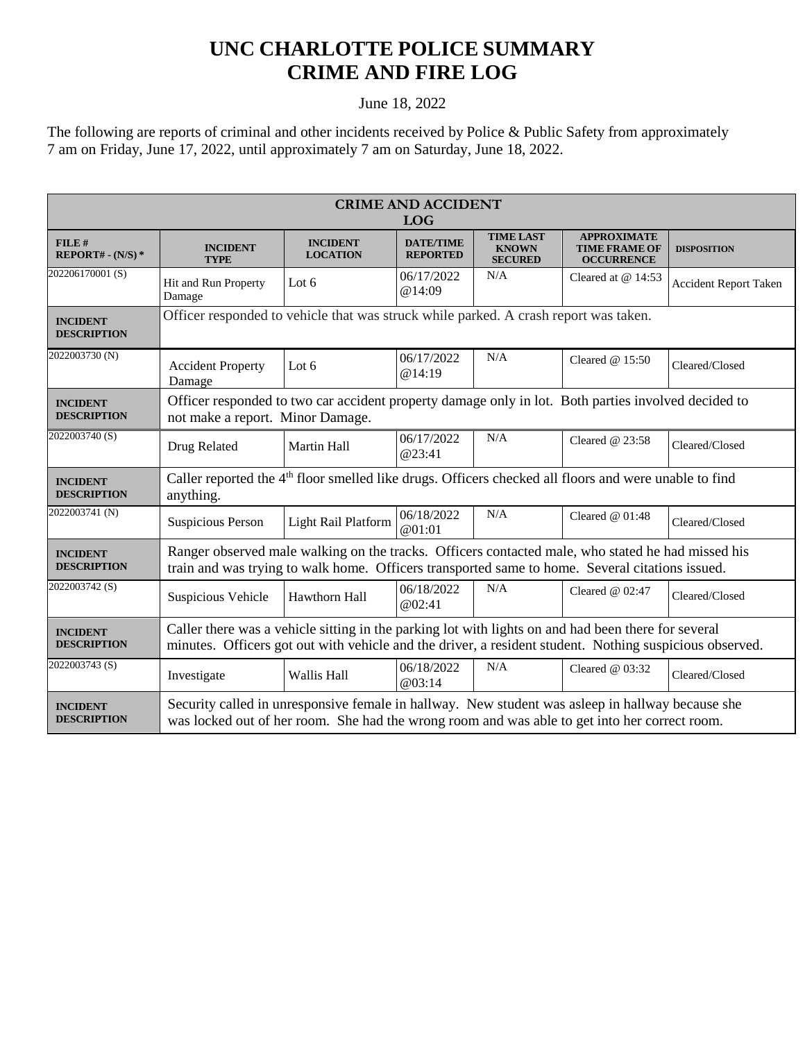## **UNC CHARLOTTE POLICE SUMMARY CRIME AND FIRE LOG**

## June 18, 2022

The following are reports of criminal and other incidents received by Police & Public Safety from approximately 7 am on Friday, June 17, 2022, until approximately 7 am on Saturday, June 18, 2022.

| <b>CRIME AND ACCIDENT</b><br><b>LOG</b> |                                                                                                                                                                                                                |                                    |                                     |                                                    |                                                                 |                              |  |
|-----------------------------------------|----------------------------------------------------------------------------------------------------------------------------------------------------------------------------------------------------------------|------------------------------------|-------------------------------------|----------------------------------------------------|-----------------------------------------------------------------|------------------------------|--|
| FILE#<br>REPORT# - $(N/S)*$             | <b>INCIDENT</b><br><b>TYPE</b>                                                                                                                                                                                 | <b>INCIDENT</b><br><b>LOCATION</b> | <b>DATE/TIME</b><br><b>REPORTED</b> | <b>TIME LAST</b><br><b>KNOWN</b><br><b>SECURED</b> | <b>APPROXIMATE</b><br><b>TIME FRAME OF</b><br><b>OCCURRENCE</b> | <b>DISPOSITION</b>           |  |
| 202206170001(S)                         | Hit and Run Property<br>Damage                                                                                                                                                                                 | Lot $6$                            | 06/17/2022<br>@14:09                | N/A                                                | Cleared at $@14:53$                                             | <b>Accident Report Taken</b> |  |
| <b>INCIDENT</b><br><b>DESCRIPTION</b>   | Officer responded to vehicle that was struck while parked. A crash report was taken.                                                                                                                           |                                    |                                     |                                                    |                                                                 |                              |  |
| 2022003730 (N)                          | <b>Accident Property</b><br>Damage                                                                                                                                                                             | Lot $6$                            | 06/17/2022<br>@14:19                | N/A                                                | Cleared @ 15:50                                                 | Cleared/Closed               |  |
| <b>INCIDENT</b><br><b>DESCRIPTION</b>   | Officer responded to two car accident property damage only in lot. Both parties involved decided to<br>not make a report. Minor Damage.                                                                        |                                    |                                     |                                                    |                                                                 |                              |  |
| 2022003740 (S)                          | Drug Related                                                                                                                                                                                                   | <b>Martin Hall</b>                 | 06/17/2022<br>@23:41                | N/A                                                | Cleared $@23:58$                                                | Cleared/Closed               |  |
| <b>INCIDENT</b><br><b>DESCRIPTION</b>   | Caller reported the 4 <sup>th</sup> floor smelled like drugs. Officers checked all floors and were unable to find<br>anything.                                                                                 |                                    |                                     |                                                    |                                                                 |                              |  |
| 2022003741 (N)                          | <b>Suspicious Person</b>                                                                                                                                                                                       | Light Rail Platform                | 06/18/2022<br>@01:01                | N/A                                                | Cleared $@$ 01:48                                               | Cleared/Closed               |  |
| <b>INCIDENT</b><br><b>DESCRIPTION</b>   | Ranger observed male walking on the tracks. Officers contacted male, who stated he had missed his<br>train and was trying to walk home. Officers transported same to home. Several citations issued.           |                                    |                                     |                                                    |                                                                 |                              |  |
| 2022003742(S)                           | Suspicious Vehicle                                                                                                                                                                                             | Hawthorn Hall                      | 06/18/2022<br>@02:41                | N/A                                                | Cleared $@$ 02:47                                               | Cleared/Closed               |  |
| <b>INCIDENT</b><br><b>DESCRIPTION</b>   | Caller there was a vehicle sitting in the parking lot with lights on and had been there for several<br>minutes. Officers got out with vehicle and the driver, a resident student. Nothing suspicious observed. |                                    |                                     |                                                    |                                                                 |                              |  |
| 2022003743 <sub>(S)</sub>               | Investigate                                                                                                                                                                                                    | <b>Wallis Hall</b>                 | 06/18/2022<br>@03:14                | N/A                                                | Cleared $@$ 03:32                                               | Cleared/Closed               |  |
| <b>INCIDENT</b><br><b>DESCRIPTION</b>   | Security called in unresponsive female in hallway. New student was asleep in hallway because she<br>was locked out of her room. She had the wrong room and was able to get into her correct room.              |                                    |                                     |                                                    |                                                                 |                              |  |